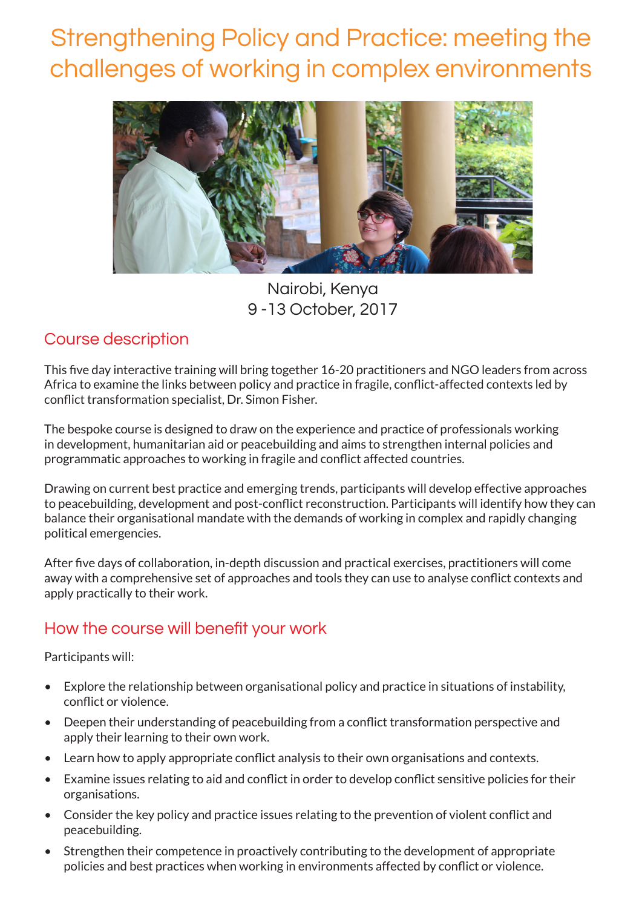# Strengthening Policy and Practice: meeting the challenges of working in complex environments



Nairobi, Kenya 9 -13 October, 2017

### Course description

This five day interactive training will bring together 16-20 practitioners and NGO leaders from across Africa to examine the links between policy and practice in fragile, conflict-affected contexts led by conflict transformation specialist, Dr. Simon Fisher.

The bespoke course is designed to draw on the experience and practice of professionals working in development, humanitarian aid or peacebuilding and aims to strengthen internal policies and programmatic approaches to working in fragile and conflict affected countries.

Drawing on current best practice and emerging trends, participants will develop effective approaches to peacebuilding, development and post-conflict reconstruction. Participants will identify how they can balance their organisational mandate with the demands of working in complex and rapidly changing political emergencies.

After five days of collaboration, in-depth discussion and practical exercises, practitioners will come away with a comprehensive set of approaches and tools they can use to analyse conflict contexts and apply practically to their work.

## How the course will benefit your work

#### Participants will:

- Explore the relationship between organisational policy and practice in situations of instability, conflict or violence.
- Deepen their understanding of peacebuilding from a conflict transformation perspective and apply their learning to their own work.
- Learn how to apply appropriate conflict analysis to their own organisations and contexts.
- Examine issues relating to aid and conflict in order to develop conflict sensitive policies for their organisations.
- Consider the key policy and practice issues relating to the prevention of violent conflict and peacebuilding.
- Strengthen their competence in proactively contributing to the development of appropriate policies and best practices when working in environments affected by conflict or violence.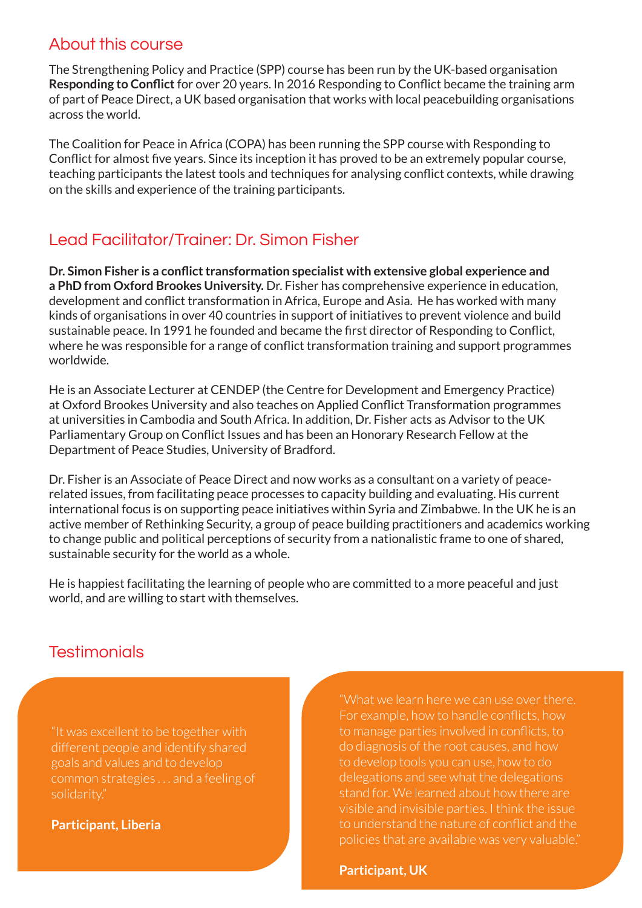#### About this course

The Strengthening Policy and Practice (SPP) course has been run by the UK-based organisation **Responding to Conflict** for over 20 years. In 2016 Responding to Conflict became the training arm of part of Peace Direct, a UK based organisation that works with local peacebuilding organisations across the world.

The Coalition for Peace in Africa (COPA) has been running the SPP course with Responding to Conflict for almost five years. Since its inception it has proved to be an extremely popular course, teaching participants the latest tools and techniques for analysing conflict contexts, while drawing on the skills and experience of the training participants.

## Lead Facilitator/Trainer: Dr. Simon Fisher

**Dr. Simon Fisher is a conflict transformation specialist with extensive global experience and a PhD from Oxford Brookes University.** Dr. Fisher has comprehensive experience in education, development and conflict transformation in Africa, Europe and Asia. He has worked with many kinds of organisations in over 40 countries in support of initiatives to prevent violence and build sustainable peace. In 1991 he founded and became the first director of Responding to Conflict, where he was responsible for a range of conflict transformation training and support programmes worldwide.

He is an Associate Lecturer at CENDEP (the Centre for Development and Emergency Practice) at Oxford Brookes University and also teaches on Applied Conflict Transformation programmes at universities in Cambodia and South Africa. In addition, Dr. Fisher acts as Advisor to the UK Parliamentary Group on Conflict Issues and has been an Honorary Research Fellow at the Department of Peace Studies, University of Bradford.

Dr. Fisher is an Associate of Peace Direct and now works as a consultant on a variety of peacerelated issues, from facilitating peace processes to capacity building and evaluating. His current international focus is on supporting peace initiatives within Syria and Zimbabwe. In the UK he is an active member of Rethinking Security, a group of peace building practitioners and academics working to change public and political perceptions of security from a nationalistic frame to one of shared, sustainable security for the world as a whole.

He is happiest facilitating the learning of people who are committed to a more peaceful and just world, and are willing to start with themselves.

# **Testimonials**

"It was excellent to be together with different people and identify shared goals and values and to develop solidarity."

**Participant, Liberia**

"What we learn here we can use over there. For example, how to handle conflicts, how to manage parties involved in conflicts, to do diagnosis of the root causes, and how to develop tools you can use, how to do delegations and see what the delegations stand for. We learned about how there are visible and invisible parties. I think the issue to understand the nature of conflict and the

**Participant, UK**